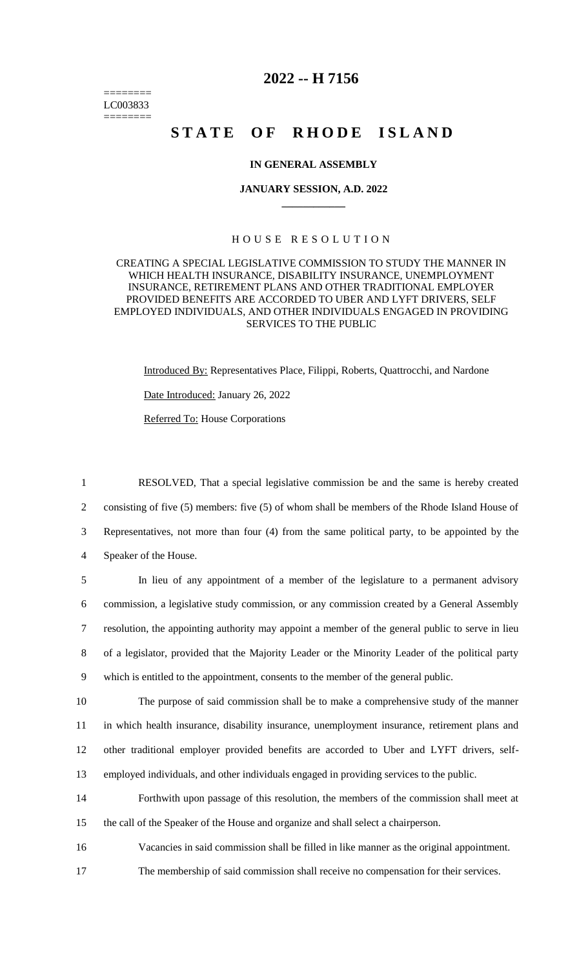======== LC003833 ========

## **2022 -- H 7156**

# **STATE OF RHODE ISLAND**

#### **IN GENERAL ASSEMBLY**

#### **JANUARY SESSION, A.D. 2022 \_\_\_\_\_\_\_\_\_\_\_\_**

### H O U S E R E S O L U T I O N

#### CREATING A SPECIAL LEGISLATIVE COMMISSION TO STUDY THE MANNER IN WHICH HEALTH INSURANCE, DISABILITY INSURANCE, UNEMPLOYMENT INSURANCE, RETIREMENT PLANS AND OTHER TRADITIONAL EMPLOYER PROVIDED BENEFITS ARE ACCORDED TO UBER AND LYFT DRIVERS, SELF EMPLOYED INDIVIDUALS, AND OTHER INDIVIDUALS ENGAGED IN PROVIDING SERVICES TO THE PUBLIC

Introduced By: Representatives Place, Filippi, Roberts, Quattrocchi, and Nardone Date Introduced: January 26, 2022 Referred To: House Corporations

 RESOLVED, That a special legislative commission be and the same is hereby created 2 consisting of five (5) members: five (5) of whom shall be members of the Rhode Island House of Representatives, not more than four (4) from the same political party, to be appointed by the Speaker of the House.

 In lieu of any appointment of a member of the legislature to a permanent advisory commission, a legislative study commission, or any commission created by a General Assembly resolution, the appointing authority may appoint a member of the general public to serve in lieu of a legislator, provided that the Majority Leader or the Minority Leader of the political party which is entitled to the appointment, consents to the member of the general public.

 The purpose of said commission shall be to make a comprehensive study of the manner in which health insurance, disability insurance, unemployment insurance, retirement plans and other traditional employer provided benefits are accorded to Uber and LYFT drivers, self-employed individuals, and other individuals engaged in providing services to the public.

14 Forthwith upon passage of this resolution, the members of the commission shall meet at 15 the call of the Speaker of the House and organize and shall select a chairperson.

16 Vacancies in said commission shall be filled in like manner as the original appointment.

17 The membership of said commission shall receive no compensation for their services.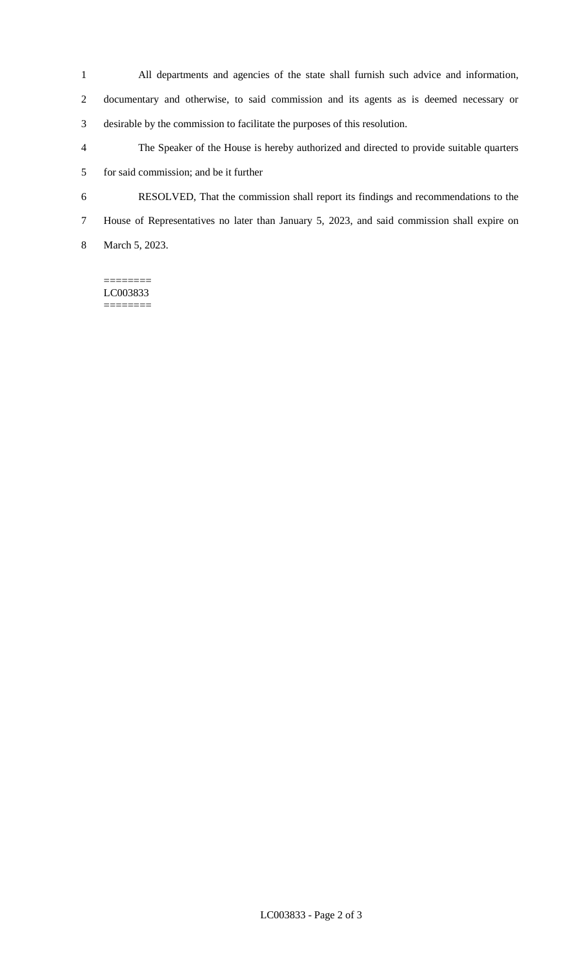- All departments and agencies of the state shall furnish such advice and information, documentary and otherwise, to said commission and its agents as is deemed necessary or
- desirable by the commission to facilitate the purposes of this resolution.
- The Speaker of the House is hereby authorized and directed to provide suitable quarters for said commission; and be it further
- RESOLVED, That the commission shall report its findings and recommendations to the
- House of Representatives no later than January 5, 2023, and said commission shall expire on

March 5, 2023.

======== LC003833 ========